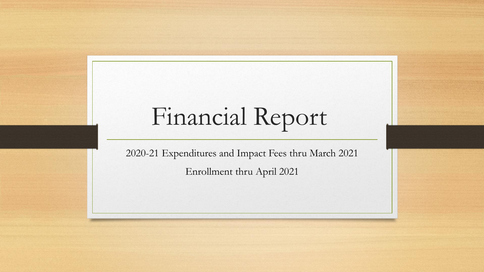## Financial Report

2020-21 Expenditures and Impact Fees thru March 2021 Enrollment thru April 2021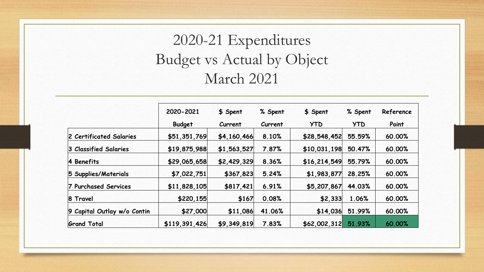#### 2020-21 Expenditures Budget vs Actual by Object March 2021

|                             | 2020-2021     | \$ Spent    | % Spent | \$ Spent     | % Spent    | Reference |
|-----------------------------|---------------|-------------|---------|--------------|------------|-----------|
|                             | <b>Budget</b> | Current     | Current | <b>YTD</b>   | <b>YTD</b> | Point     |
| 2 Certificated Salaries     | \$51,351,769  | \$4,160,466 | 8.10%   | \$28,548,452 | 55.59%     | 60.00%    |
| 3 Classified Salaries       | \$19,875,988  | \$1,563,527 | 7.87%   | \$10,031,198 | 50.47%     | 60.00%    |
| 4 Benefits                  | \$29,065,658  | \$2,429,329 | 8.36%   | \$16,214,549 | 55.79%     | 60.00%    |
| 5 Supplies/Materials        | \$7,022,751   | \$367,823   | 5.24%   | \$1,983,877  | 28.25%     | 60.00%    |
| 7 Purchased Services        | \$11,828,105  | \$817,421   | 6.91%   | \$5,207,867  | 44.03%     | 60.00%    |
| 8 Travel                    | \$220,155     | \$167       | 0.08%   | \$2,333      | 1.06%      | 60.00%    |
| 9 Capital Outlay w/o Contin | \$27,000      | \$11,086    | 41.06%  | \$14,036     | 51.99%     | 60.00%    |
| <b>Grand Total</b>          | \$119,391,426 | \$9,349,819 | 7.83%   | \$62,002,312 | 51.93%     | 60.00%    |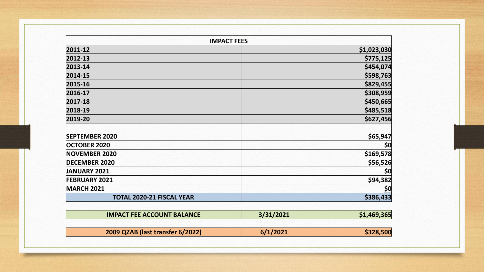| <b>IMPACT FEES</b>               |             |
|----------------------------------|-------------|
| 2011-12                          | \$1,023,030 |
| 2012-13                          | \$775,125   |
| 2013-14                          | \$454,074   |
| 2014-15                          | \$598,763   |
| 2015-16                          | \$829,455   |
| 2016-17                          | \$308,959   |
| 2017-18                          | \$450,665   |
| 2018-19                          | \$485,518   |
| 2019-20                          | \$627,456   |
|                                  |             |
| <b>SEPTEMBER 2020</b>            | \$65,947    |
| <b>OCTOBER 2020</b>              | \$0         |
| <b>NOVEMBER 2020</b>             | \$169,578   |
| <b>DECEMBER 2020</b>             | \$56,526    |
| <b>JANUARY 2021</b>              | \$0         |
| <b>FEBRUARY 2021</b>             | \$94,382    |
| <b>MARCH 2021</b>                | <u>\$0</u>  |
| <b>TOTAL 2020-21 FISCAL YEAR</b> | \$386,433   |

| <b>IMPACT FEE ACCOUNT BALANCE</b> | 3/31/2021 | \$1,469,365 |
|-----------------------------------|-----------|-------------|
|                                   |           |             |
| 2009 QZAB (last transfer 6/2022)  | 6/1/2021  | \$328,500   |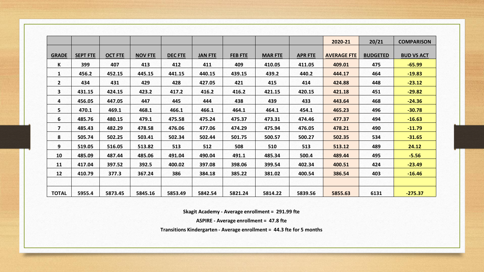|                |                 |                |                |                |                |                |                |                | 2020-21            | 20/21           | <b>COMPARISON</b> |
|----------------|-----------------|----------------|----------------|----------------|----------------|----------------|----------------|----------------|--------------------|-----------------|-------------------|
|                |                 |                |                |                |                |                |                |                |                    |                 |                   |
| <b>GRADE</b>   | <b>SEPT FTE</b> | <b>OCT FTE</b> | <b>NOV FTE</b> | <b>DEC FTE</b> | <b>JAN FTE</b> | <b>FEB FTE</b> | <b>MAR FTE</b> | <b>APR FTE</b> | <b>AVERAGE FTE</b> | <b>BUDGETED</b> | <b>BUD VS ACT</b> |
| K              | 399             | 407            | 413            | 412            | 411            | 409            | 410.05         | 411.05         | 409.01             | 475             | $-65.99$          |
| $\mathbf{1}$   | 456.2           | 452.15         | 445.15         | 441.15         | 440.15         | 439.15         | 439.2          | 440.2          | 444.17             | 464             | $-19.83$          |
| $\overline{2}$ | 434             | 431            | 429            | 428            | 427.05         | 421            | 415            | 414            | 424.88             | 448             | $-23.12$          |
| 3              | 431.15          | 424.15         | 423.2          | 417.2          | 416.2          | 416.2          | 421.15         | 420.15         | 421.18             | 451             | $-29.82$          |
| 4              | 456.05          | 447.05         | 447            | 445            | 444            | 438            | 439            | 433            | 443.64             | 468             | $-24.36$          |
| 5              | 470.1           | 469.1          | 468.1          | 466.1          | 466.1          | 464.1          | 464.1          | 454.1          | 465.23             | 496             | $-30.78$          |
| 6              | 485.76          | 480.15         | 479.1          | 475.58         | 475.24         | 475.37         | 473.31         | 474.46         | 477.37             | 494             | $-16.63$          |
| $\overline{7}$ | 485.43          | 482.29         | 478.58         | 476.06         | 477.06         | 474.29         | 475.94         | 476.05         | 478.21             | 490             | $-11.79$          |
| 8              | 505.74          | 502.25         | 503.41         | 502.34         | 502.44         | 501.75         | 500.57         | 500.27         | 502.35             | 534             | $-31.65$          |
| 9              | 519.05          | 516.05         | 513.82         | 513            | 512            | 508            | 510            | 513            | 513.12             | 489             | 24.12             |
| 10             | 485.09          | 487.44         | 485.06         | 491.04         | 490.04         | 491.1          | 485.34         | 500.4          | 489.44             | 495             | $-5.56$           |
| 11             | 417.04          | 397.52         | 392.5          | 400.02         | 397.08         | 398.06         | 399.54         | 402.34         | 400.51             | 424             | $-23.49$          |
| 12             | 410.79          | 377.3          | 367.24         | 386            | 384.18         | 385.22         | 381.02         | 400.54         | 386.54             | 403             | $-16.46$          |
|                |                 |                |                |                |                |                |                |                |                    |                 |                   |
| <b>TOTAL</b>   | 5955.4          | 5873.45        | 5845.16        | 5853.49        | 5842.54        | 5821.24        | 5814.22        | 5839.56        | 5855.63            | 6131            | $-275.37$         |

**Skagit Academy - Average enrollment = 291.99 fte**

**ASPIRE - Average enrollment = 47.8 fte**

**Transitions Kindergarten - Average enrollment = 44.3 fte for 5 months**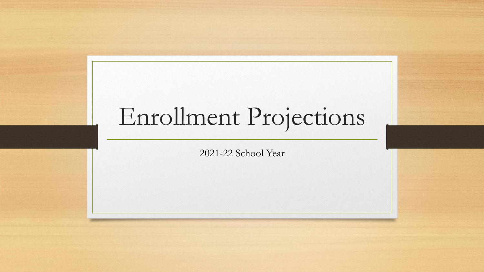# Enrollment Projections

2021-22 School Year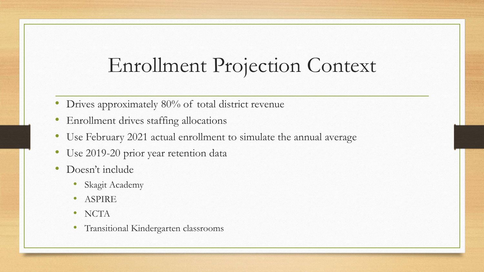### Enrollment Projection Context

- Drives approximately 80% of total district revenue
- Enrollment drives staffing allocations
- Use February 2021 actual enrollment to simulate the annual average
- Use 2019-20 prior year retention data
- Doesn't include
	- Skagit Academy
	- ASPIRE
	- NCTA
	- Transitional Kindergarten classrooms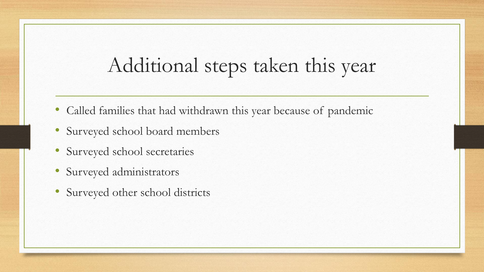### Additional steps taken this year

- Called families that had withdrawn this year because of pandemic
- Surveyed school board members
- Surveyed school secretaries
- Surveyed administrators
- Surveyed other school districts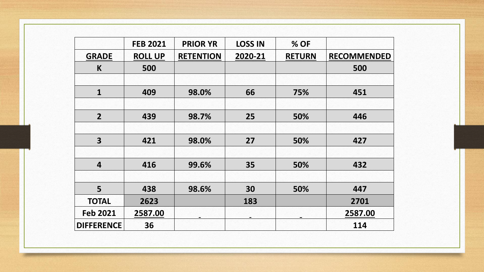|                         | <b>FEB 2021</b> | <b>PRIOR YR</b>  | <b>LOSS IN</b> | % OF          |                    |
|-------------------------|-----------------|------------------|----------------|---------------|--------------------|
| <b>GRADE</b>            | <b>ROLL UP</b>  | <b>RETENTION</b> | 2020-21        | <b>RETURN</b> | <b>RECOMMENDED</b> |
| K                       | 500             |                  |                |               | 500                |
|                         |                 |                  |                |               |                    |
| $\mathbf{1}$            | 409             | 98.0%            | 66             | 75%           | 451                |
|                         |                 |                  |                |               |                    |
| $\overline{2}$          | 439             | 98.7%            | 25             | 50%           | 446                |
|                         |                 |                  |                |               |                    |
| $\overline{\mathbf{3}}$ | 421             | 98.0%            | 27             | 50%           | 427                |
|                         |                 |                  |                |               |                    |
| $\overline{\mathbf{4}}$ | 416             | 99.6%            | 35             | 50%           | 432                |
|                         |                 |                  |                |               |                    |
| 5                       | 438             | 98.6%            | 30             | 50%           | 447                |
| <b>TOTAL</b>            | 2623            |                  | 183            |               | 2701               |
| <b>Feb 2021</b>         | 2587.00         |                  |                |               | 2587.00            |
| <b>DIFFERENCE</b>       | 36              |                  |                |               | 114                |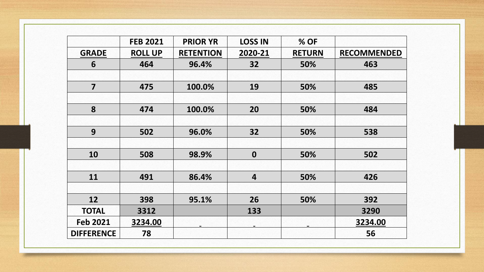|                   | <b>FEB 2021</b> | <b>PRIOR YR</b>  | <b>LOSS IN</b>   | % OF          |                    |
|-------------------|-----------------|------------------|------------------|---------------|--------------------|
| <b>GRADE</b>      | <b>ROLL UP</b>  | <b>RETENTION</b> | 2020-21          | <b>RETURN</b> | <b>RECOMMENDED</b> |
| 6                 | 464             | 96.4%            | 32               | 50%           | 463                |
|                   |                 |                  |                  |               |                    |
| $\overline{7}$    | 475             | 100.0%           | 19               | 50%           | 485                |
|                   |                 |                  |                  |               |                    |
| 8                 | 474             | 100.0%           | 20               | 50%           | 484                |
|                   |                 |                  |                  |               |                    |
| 9                 | 502             | 96.0%            | 32               | 50%           | 538                |
|                   |                 |                  |                  |               |                    |
| 10                | 508             | 98.9%            | $\boldsymbol{0}$ | 50%           | 502                |
|                   |                 |                  |                  |               |                    |
| 11                | 491             | 86.4%            | 4                | 50%           | 426                |
|                   |                 |                  |                  |               |                    |
| 12                | 398             | 95.1%            | 26               | 50%           | 392                |
| <b>TOTAL</b>      | 3312            |                  | 133              |               | 3290               |
| <b>Feb 2021</b>   | 3234.00         |                  |                  |               | 3234.00            |
| <b>DIFFERENCE</b> | 78              |                  |                  |               | 56                 |